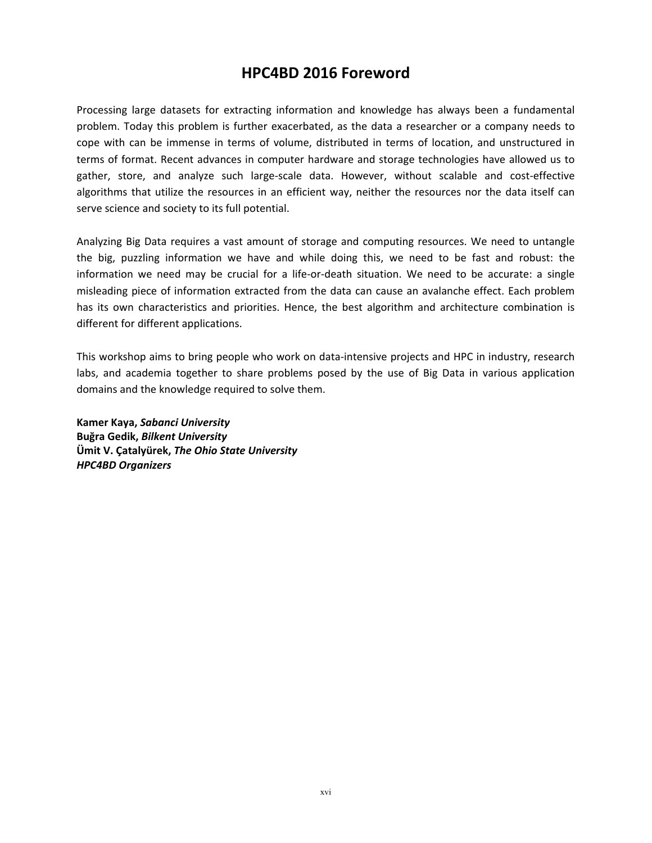## **HPC4BD 2016 Foreword**

Processing large datasets for extracting information and knowledge has always been a fundamental problem. Today this problem is further exacerbated, as the data a researcher or a company needs to cope with can be immense in terms of volume, distributed in terms of location, and unstructured in terms of format. Recent advances in computer hardware and storage technologies have allowed us to gather, store, and analyze such large-scale data. However, without scalable and cost-effective algorithms that utilize the resources in an efficient way, neither the resources nor the data itself can serve science and society to its full potential.

Analyzing Big Data requires a vast amount of storage and computing resources. We need to untangle the big, puzzling information we have and while doing this, we need to be fast and robust: the information we need may be crucial for a life-or-death situation. We need to be accurate: a single misleading piece of information extracted from the data can cause an avalanche effect. Each problem has its own characteristics and priorities. Hence, the best algorithm and architecture combination is different for different applications.

This workshop aims to bring people who work on data-intensive projects and HPC in industry, research labs, and academia together to share problems posed by the use of Big Data in various application domains and the knowledge required to solve them.

**Kamer Kaya,** *Sabanci University* **Buğra Gedik,** *Bilkent University* **Ümit V. Çatalyürek,** *The Ohio State University HPC4BD Organizers*